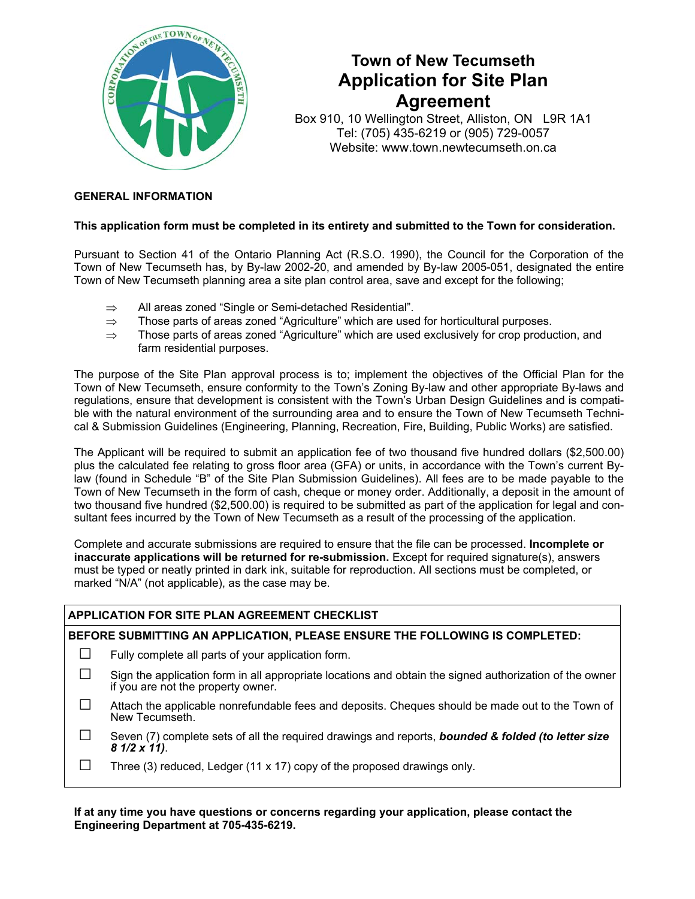

# **Town of New Tecumseth Application for Site Plan Agreement**

Box 910, 10 Wellington Street, Alliston, ON L9R 1A1 Tel: (705) 435-6219 or (905) 729-0057 Website: www.town.newtecumseth.on.ca

### **GENERAL INFORMATION**

#### **This application form must be completed in its entirety and submitted to the Town for consideration.**

Pursuant to Section 41 of the Ontario Planning Act (R.S.O. 1990), the Council for the Corporation of the Town of New Tecumseth has, by By-law 2002-20, and amended by By-law 2005-051, designated the entire Town of New Tecumseth planning area a site plan control area, save and except for the following;

- ⇒ All areas zoned "Single or Semi-detached Residential".
- $\Rightarrow$  Those parts of areas zoned "Agriculture" which are used for horticultural purposes.
- $\Rightarrow$  Those parts of areas zoned "Agriculture" which are used exclusively for crop production, and farm residential purposes.

The purpose of the Site Plan approval process is to; implement the objectives of the Official Plan for the Town of New Tecumseth, ensure conformity to the Town's Zoning By-law and other appropriate By-laws and regulations, ensure that development is consistent with the Town's Urban Design Guidelines and is compatible with the natural environment of the surrounding area and to ensure the Town of New Tecumseth Technical & Submission Guidelines (Engineering, Planning, Recreation, Fire, Building, Public Works) are satisfied.

The Applicant will be required to submit an application fee of two thousand five hundred dollars (\$2,500.00) plus the calculated fee relating to gross floor area (GFA) or units, in accordance with the Town's current Bylaw (found in Schedule "B" of the Site Plan Submission Guidelines). All fees are to be made payable to the Town of New Tecumseth in the form of cash, cheque or money order. Additionally, a deposit in the amount of two thousand five hundred (\$2,500.00) is required to be submitted as part of the application for legal and consultant fees incurred by the Town of New Tecumseth as a result of the processing of the application.

Complete and accurate submissions are required to ensure that the file can be processed. **Incomplete or inaccurate applications will be returned for re-submission.** Except for required signature(s), answers must be typed or neatly printed in dark ink, suitable for reproduction. All sections must be completed, or marked "N/A" (not applicable), as the case may be.

### **APPLICATION FOR SITE PLAN AGREEMENT CHECKLIST**

#### **BEFORE SUBMITTING AN APPLICATION, PLEASE ENSURE THE FOLLOWING IS COMPLETED:**

- $\Box$  Fully complete all parts of your application form.
- $\square$  Sign the application form in all appropriate locations and obtain the signed authorization of the owner if you are not the property owner.
- □ Attach the applicable nonrefundable fees and deposits. Cheques should be made out to the Town of New Tecumseth.
- □ Seven (7) complete sets of all the required drawings and reports, *bounded & folded (to letter size 8 1/2 x 11)*.
- $\Box$  Three (3) reduced, Ledger (11 x 17) copy of the proposed drawings only.

**If at any time you have questions or concerns regarding your application, please contact the Engineering Department at 705-435-6219.**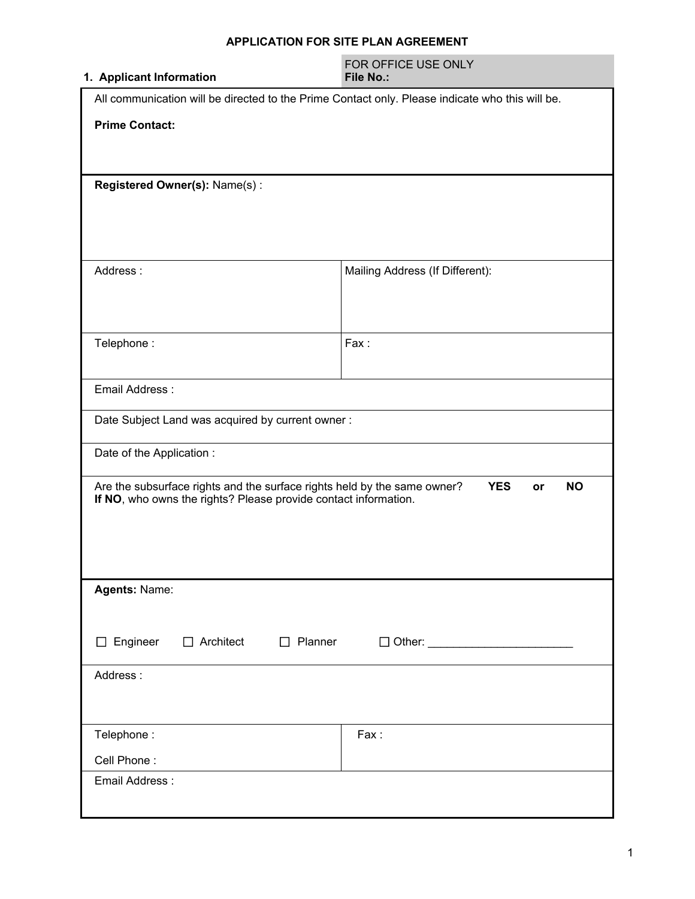### **APPLICATION FOR SITE PLAN AGREEMENT**

| 1. Applicant Information                                                                                                                                                     | FOR OFFICE USE ONLY<br><b>File No.:</b> |  |  |  |
|------------------------------------------------------------------------------------------------------------------------------------------------------------------------------|-----------------------------------------|--|--|--|
| All communication will be directed to the Prime Contact only. Please indicate who this will be.                                                                              |                                         |  |  |  |
| <b>Prime Contact:</b>                                                                                                                                                        |                                         |  |  |  |
| Registered Owner(s): Name(s):                                                                                                                                                |                                         |  |  |  |
| Address:                                                                                                                                                                     | Mailing Address (If Different):         |  |  |  |
| Telephone:                                                                                                                                                                   | Fax:                                    |  |  |  |
| Email Address:                                                                                                                                                               |                                         |  |  |  |
| Date Subject Land was acquired by current owner:                                                                                                                             |                                         |  |  |  |
| Date of the Application:                                                                                                                                                     |                                         |  |  |  |
| Are the subsurface rights and the surface rights held by the same owner?<br><b>YES</b><br><b>NO</b><br>or<br>If NO, who owns the rights? Please provide contact information. |                                         |  |  |  |
| Agents: Name:                                                                                                                                                                |                                         |  |  |  |
| Engineer<br>$\Box$ Architect<br>$\Box$ Planner<br>$\Box$                                                                                                                     |                                         |  |  |  |
| Address:                                                                                                                                                                     |                                         |  |  |  |
| Telephone:                                                                                                                                                                   | Fax:                                    |  |  |  |
| Cell Phone:                                                                                                                                                                  |                                         |  |  |  |
| Email Address:                                                                                                                                                               |                                         |  |  |  |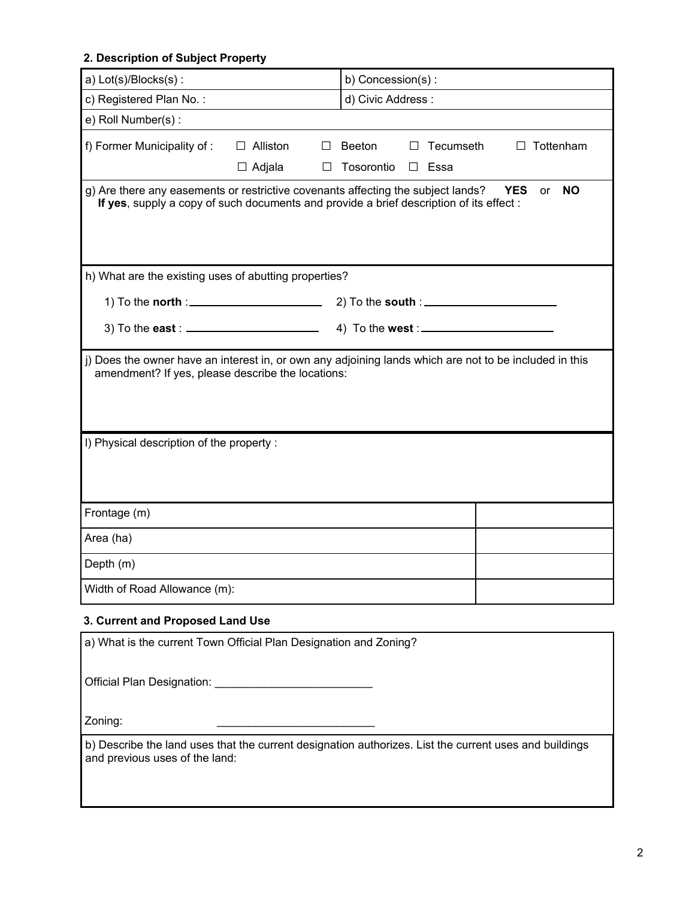### **2. Description of Subject Property**

| a) Lot(s)/Blocks(s):                                                                                                                                                                                         |                                                 | b) Concession(s):                |                                |  |
|--------------------------------------------------------------------------------------------------------------------------------------------------------------------------------------------------------------|-------------------------------------------------|----------------------------------|--------------------------------|--|
| c) Registered Plan No.:                                                                                                                                                                                      |                                                 | d) Civic Address:                |                                |  |
| e) Roll Number(s):                                                                                                                                                                                           |                                                 |                                  |                                |  |
| f) Former Municipality of:                                                                                                                                                                                   | $\Box$ Alliston<br>ப<br>$\Box$ Adjala<br>$\Box$ | <b>Beeton</b><br>Tosorontio<br>П | Tecumseth<br>Tottenham<br>Essa |  |
| g) Are there any easements or restrictive covenants affecting the subject lands?<br><b>YES</b><br><b>NO</b><br>or<br>If yes, supply a copy of such documents and provide a brief description of its effect : |                                                 |                                  |                                |  |
| h) What are the existing uses of abutting properties?                                                                                                                                                        |                                                 |                                  |                                |  |
|                                                                                                                                                                                                              |                                                 |                                  |                                |  |
| 3) To the east : $\frac{1}{2}$                                                                                                                                                                               |                                                 |                                  |                                |  |
| j) Does the owner have an interest in, or own any adjoining lands which are not to be included in this<br>amendment? If yes, please describe the locations:<br>I) Physical description of the property:      |                                                 |                                  |                                |  |
| Frontage (m)                                                                                                                                                                                                 |                                                 |                                  |                                |  |
| Area (ha)                                                                                                                                                                                                    |                                                 |                                  |                                |  |
| Depth (m)                                                                                                                                                                                                    |                                                 |                                  |                                |  |
| Width of Road Allowance (m):                                                                                                                                                                                 |                                                 |                                  |                                |  |
| 3. Current and Proposed Land Use                                                                                                                                                                             |                                                 |                                  |                                |  |
| a) What is the current Town Official Plan Designation and Zoning?                                                                                                                                            |                                                 |                                  |                                |  |
|                                                                                                                                                                                                              |                                                 |                                  |                                |  |

Zoning:

b) Describe the land uses that the current designation authorizes. List the current uses and buildings and previous uses of the land: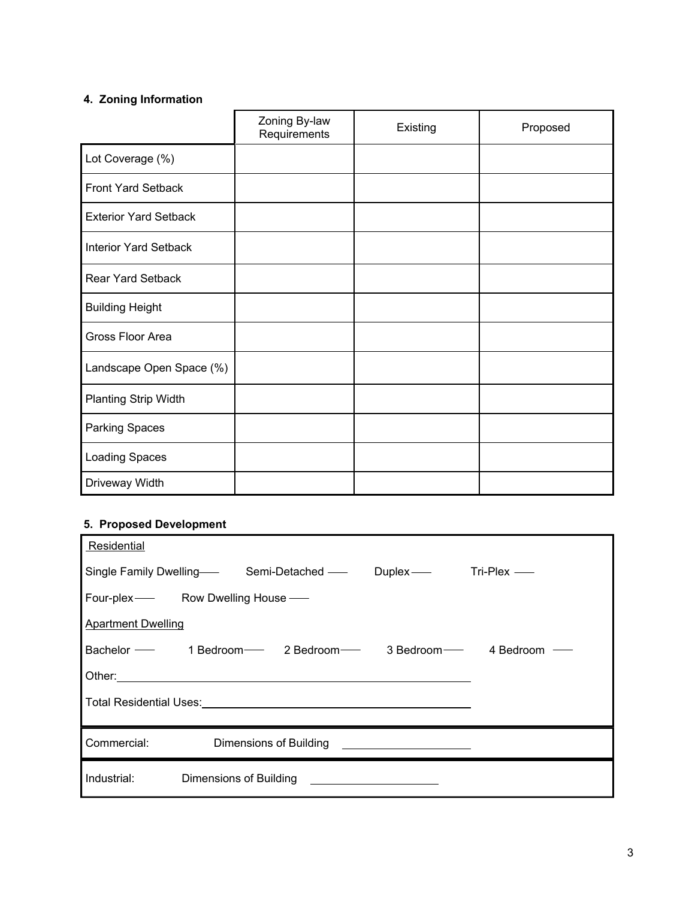## **4. Zoning Information**

|                              | Zoning By-law<br>Requirements | Existing | Proposed |
|------------------------------|-------------------------------|----------|----------|
| Lot Coverage (%)             |                               |          |          |
| Front Yard Setback           |                               |          |          |
| <b>Exterior Yard Setback</b> |                               |          |          |
| <b>Interior Yard Setback</b> |                               |          |          |
| Rear Yard Setback            |                               |          |          |
| <b>Building Height</b>       |                               |          |          |
| Gross Floor Area             |                               |          |          |
| Landscape Open Space (%)     |                               |          |          |
| <b>Planting Strip Width</b>  |                               |          |          |
| Parking Spaces               |                               |          |          |
| Loading Spaces               |                               |          |          |
| Driveway Width               |                               |          |          |

### **5. Proposed Development**

| Residential                              |                        |                        |                                                                                                                      |  |
|------------------------------------------|------------------------|------------------------|----------------------------------------------------------------------------------------------------------------------|--|
| Single Family Dwelling—— Semi-Detached — |                        |                        | Duplex- Tri-Plex-                                                                                                    |  |
| Four-plex-<br>Row Dwelling House —       |                        |                        |                                                                                                                      |  |
| <b>Apartment Dwelling</b>                |                        |                        |                                                                                                                      |  |
|                                          |                        |                        | Bachelor - 1 Bedroom - 2 Bedroom - 3 Bedroom - 4 Bedroom                                                             |  |
|                                          |                        |                        |                                                                                                                      |  |
|                                          |                        |                        |                                                                                                                      |  |
|                                          |                        |                        |                                                                                                                      |  |
| Commercial:                              |                        | Dimensions of Building | <u> 1989 - Jan Stein Harry Stein Harry Stein Harry Stein Harry Stein Harry Stein Harry Stein Harry Stein Harry S</u> |  |
| Industrial:                              | Dimensions of Building |                        |                                                                                                                      |  |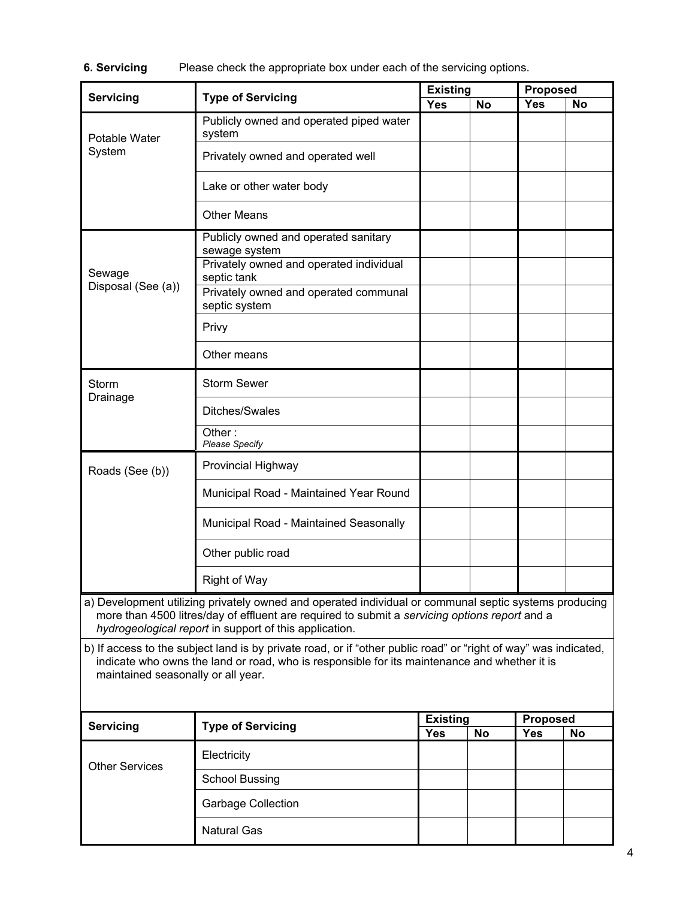**6. Servicing** Please check the appropriate box under each of the servicing options.

| Servicing<br><b>Type of Servicing</b>                                                                                                                                                                                                                            |                                                        |                               | <b>Existing</b> |                        | <b>Proposed</b> |  |
|------------------------------------------------------------------------------------------------------------------------------------------------------------------------------------------------------------------------------------------------------------------|--------------------------------------------------------|-------------------------------|-----------------|------------------------|-----------------|--|
|                                                                                                                                                                                                                                                                  |                                                        | <b>Yes</b>                    | <b>No</b>       | <b>Yes</b>             | No              |  |
| Potable Water<br>System                                                                                                                                                                                                                                          | Publicly owned and operated piped water<br>system      |                               |                 |                        |                 |  |
|                                                                                                                                                                                                                                                                  | Privately owned and operated well                      |                               |                 |                        |                 |  |
|                                                                                                                                                                                                                                                                  | Lake or other water body                               |                               |                 |                        |                 |  |
|                                                                                                                                                                                                                                                                  | <b>Other Means</b>                                     |                               |                 |                        |                 |  |
|                                                                                                                                                                                                                                                                  | Publicly owned and operated sanitary<br>sewage system  |                               |                 |                        |                 |  |
| Sewage                                                                                                                                                                                                                                                           | Privately owned and operated individual<br>septic tank |                               |                 |                        |                 |  |
| Disposal (See (a))                                                                                                                                                                                                                                               | Privately owned and operated communal<br>septic system |                               |                 |                        |                 |  |
|                                                                                                                                                                                                                                                                  | Privy                                                  |                               |                 |                        |                 |  |
|                                                                                                                                                                                                                                                                  | Other means                                            |                               |                 |                        |                 |  |
| Storm<br>Drainage                                                                                                                                                                                                                                                | <b>Storm Sewer</b>                                     |                               |                 |                        |                 |  |
|                                                                                                                                                                                                                                                                  | Ditches/Swales                                         |                               |                 |                        |                 |  |
|                                                                                                                                                                                                                                                                  | Other:<br><b>Please Specify</b>                        |                               |                 |                        |                 |  |
| Roads (See (b))                                                                                                                                                                                                                                                  | Provincial Highway                                     |                               |                 |                        |                 |  |
|                                                                                                                                                                                                                                                                  | Municipal Road - Maintained Year Round                 |                               |                 |                        |                 |  |
|                                                                                                                                                                                                                                                                  | Municipal Road - Maintained Seasonally                 |                               |                 |                        |                 |  |
|                                                                                                                                                                                                                                                                  | Other public road                                      |                               |                 |                        |                 |  |
|                                                                                                                                                                                                                                                                  | <b>Right of Way</b>                                    |                               |                 |                        |                 |  |
| a) Development utilizing privately owned and operated individual or communal septic systems producing<br>more than 4500 litres/day of effluent are required to submit a servicing options report and a<br>hydrogeological report in support of this application. |                                                        |                               |                 |                        |                 |  |
| b) If access to the subject land is by private road, or if "other public road" or "right of way" was indicated,<br>indicate who owns the land or road, who is responsible for its maintenance and whether it is<br>maintained seasonally or all year.            |                                                        |                               |                 |                        |                 |  |
|                                                                                                                                                                                                                                                                  |                                                        |                               |                 |                        |                 |  |
| <b>Servicing</b>                                                                                                                                                                                                                                                 | <b>Type of Servicing</b>                               | <b>Existing</b><br><b>Yes</b> | <b>No</b>       | <b>Proposed</b><br>Yes | No              |  |
|                                                                                                                                                                                                                                                                  | Electricity                                            |                               |                 |                        |                 |  |
| <b>Other Services</b>                                                                                                                                                                                                                                            | <b>School Bussing</b>                                  |                               |                 |                        |                 |  |
|                                                                                                                                                                                                                                                                  | <b>Garbage Collection</b>                              |                               |                 |                        |                 |  |
|                                                                                                                                                                                                                                                                  | <b>Natural Gas</b>                                     |                               |                 |                        |                 |  |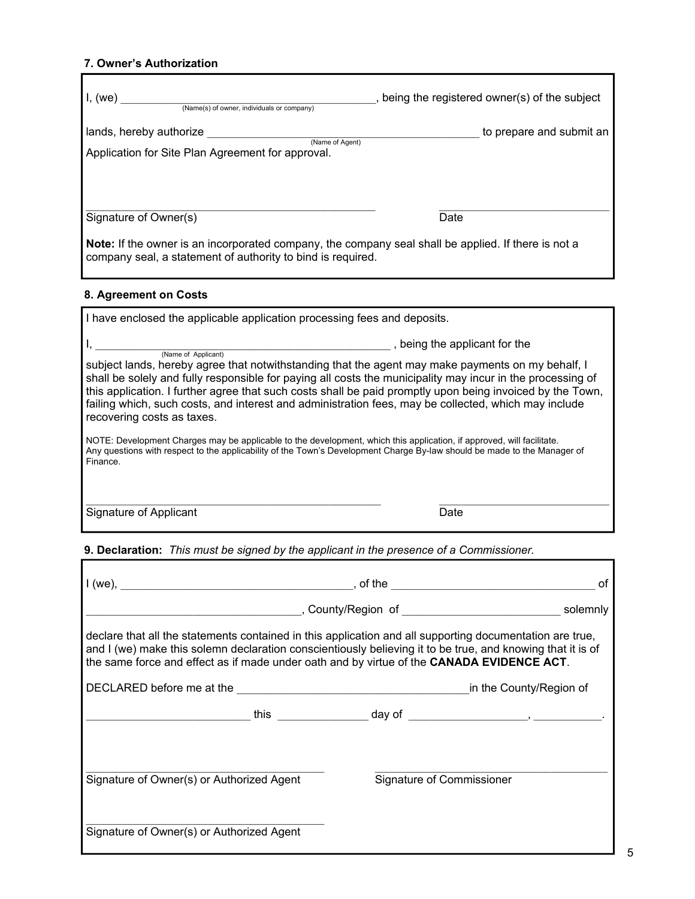### **7. Owner's Authorization**

| I, (we)<br>(Name(s) of owner, individuals or company)                                                                                                                                              | , being the registered owner(s) of the subject |  |  |  |
|----------------------------------------------------------------------------------------------------------------------------------------------------------------------------------------------------|------------------------------------------------|--|--|--|
| lands, hereby authorize<br>(Name of Agent)<br>Application for Site Plan Agreement for approval.                                                                                                    | to prepare and submit an                       |  |  |  |
| Signature of Owner(s)<br><b>Note:</b> If the owner is an incorporated company, the company seal shall be applied. If there is not a<br>company seal, a statement of authority to bind is required. | Date                                           |  |  |  |
| 8. Agreement on Costs                                                                                                                                                                              |                                                |  |  |  |
| I have enclosed the applicable application processing fees and deposits.                                                                                                                           |                                                |  |  |  |
| (Name of Applicant)                                                                                                                                                                                | , being the applicant for the                  |  |  |  |

subject lands, hereby agree that notwithstanding that the agent may make payments on my behalf, I shall be solely and fully responsible for paying all costs the municipality may incur in the processing of this application. I further agree that such costs shall be paid promptly upon being invoiced by the Town, failing which, such costs, and interest and administration fees, may be collected, which may include recovering costs as taxes.

NOTE: Development Charges may be applicable to the development, which this application, if approved, will facilitate. Any questions with respect to the applicability of the Town's Development Charge By-law should be made to the Manager of Finance.

 $\mathcal{L}_\text{max}$  , and the contribution of the contribution of the contribution of the contribution of the contribution of the contribution of the contribution of the contribution of the contribution of the contribution of t

Signature of Applicant Date **Date** 

### **9. Declaration:** *This must be signed by the applicant in the presence of a Commissioner.*

|                                                                                                                                                                                                                                                                                                                     | . of the _____________________                                                   |          |  |
|---------------------------------------------------------------------------------------------------------------------------------------------------------------------------------------------------------------------------------------------------------------------------------------------------------------------|----------------------------------------------------------------------------------|----------|--|
|                                                                                                                                                                                                                                                                                                                     | , County/Region of _______________________________                               | solemnly |  |
| declare that all the statements contained in this application and all supporting documentation are true,<br>and I (we) make this solemn declaration conscientiously believing it to be true, and knowing that it is of<br>the same force and effect as if made under oath and by virtue of the CANADA EVIDENCE ACT. |                                                                                  |          |  |
| DECLARED before me at the <b>Example 2018</b> in the County/Region of                                                                                                                                                                                                                                               |                                                                                  |          |  |
|                                                                                                                                                                                                                                                                                                                     | _________________this _________________day of __________________________________ |          |  |
|                                                                                                                                                                                                                                                                                                                     |                                                                                  |          |  |
| Signature of Owner(s) or Authorized Agent                                                                                                                                                                                                                                                                           | Signature of Commissioner                                                        |          |  |
| Signature of Owner(s) or Authorized Agent                                                                                                                                                                                                                                                                           |                                                                                  |          |  |